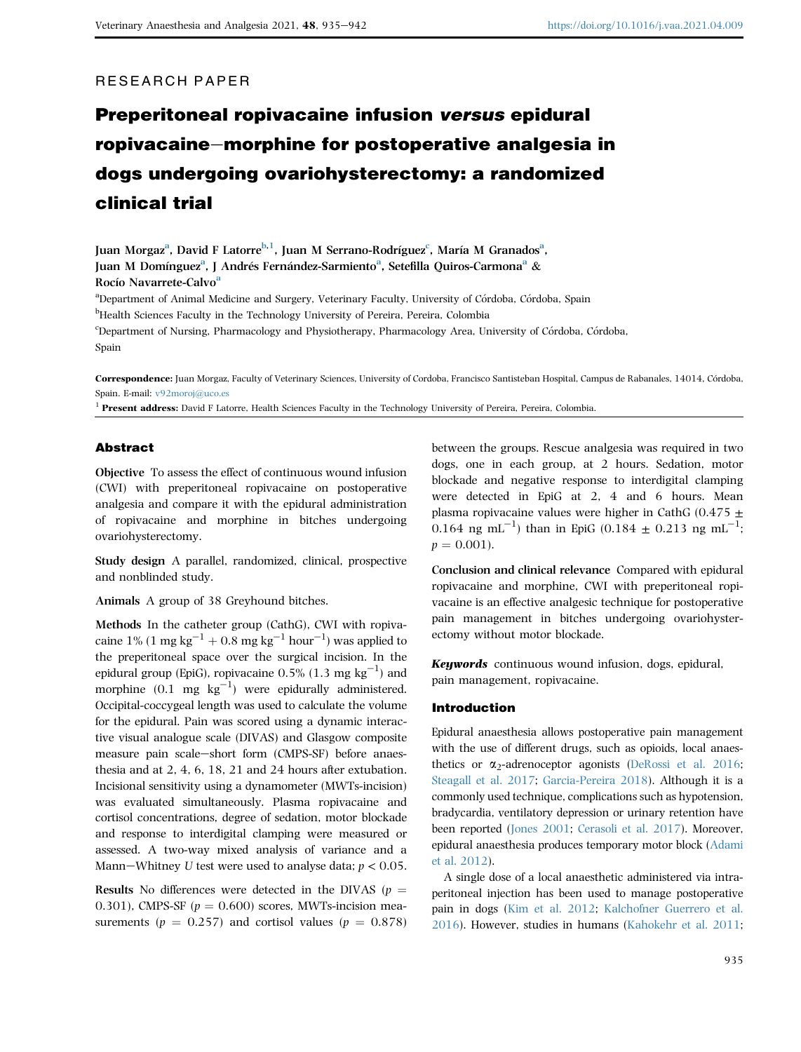# RESEARCH PAPER

# Preperitoneal ropivacaine infusion versus epidural ropivacaine–morphine for postoperative analgesia in dogs undergoing ovariohysterectomy: a randomized clinical trial

Ju[a](#page-0-0)n Morgaz<sup>a</sup>, David F Latorre<sup>[b](#page-0-1), 1</sup>, Juan M Serrano-Rodríguez<sup>[c](#page-0-2)</sup>, María M Granados<sup>a</sup>, Ju[a](#page-0-0)n M Domínguez<sup>a</sup>, J Andrés Fernández-Sarmiento<sup>a</sup>, Setefilla Quiros-Carmona<sup>a</sup> & Rocío N[a](#page-0-0)varrete-Calvo<sup>a</sup>

<span id="page-0-1"></span><span id="page-0-0"></span><sup>a</sup>Department of Animal Medicine and Surgery, Veterinary Faculty, University of Córdoba, Córdoba, Spain <sup>b</sup>Health Sciences Faculty in the Technology University of Pereira, Pereira, Colombia c Department of Nursing, Pharmacology and Physiotherapy, Pharmacology Area, University of Cordoba, Cordoba,

<span id="page-0-2"></span>Spain

Correspondence: Juan Morgaz, Faculty of Veterinary Sciences, University of Cordoba, Francisco Santisteban Hospital, Campus de Rabanales, 14014, Cordoba, Spain. E-mail: [v92moroj@uco.es](mailto:v92moroj@uco.es)

 $1$  Present address: David F Latorre, Health Sciences Faculty in the Technology University of Pereira, Pereira, Colombia.

#### Abstract

Objective To assess the effect of continuous wound infusion (CWI) with preperitoneal ropivacaine on postoperative analgesia and compare it with the epidural administration of ropivacaine and morphine in bitches undergoing ovariohysterectomy.

Study design A parallel, randomized, clinical, prospective and nonblinded study.

Animals A group of 38 Greyhound bitches.

Methods In the catheter group (CathG), CWI with ropivacaine 1% (1 mg kg<sup>-1</sup> + 0.8 mg kg<sup>-1</sup> hour<sup>-1</sup>) was applied to the preperitoneal space over the surgical incision. In the epidural group (EpiG), ropivacaine  $0.5\%$  (1.3 mg kg<sup>-1</sup>) and morphine  $(0.1 \text{ mg kg}^{-1})$  were epidurally administered. Occipital-coccygeal length was used to calculate the volume for the epidural. Pain was scored using a dynamic interactive visual analogue scale (DIVAS) and Glasgow composite measure pain scale-short form (CMPS-SF) before anaesthesia and at 2, 4, 6, 18, 21 and 24 hours after extubation. Incisional sensitivity using a dynamometer (MWTs-incision) was evaluated simultaneously. Plasma ropivacaine and cortisol concentrations, degree of sedation, motor blockade and response to interdigital clamping were measured or assessed. A two-way mixed analysis of variance and a Mann-Whitney U test were used to analyse data;  $p < 0.05$ .

Results No differences were detected in the DIVAS ( $p =$ 0.301), CMPS-SF ( $p = 0.600$ ) scores, MWTs-incision measurements ( $p = 0.257$ ) and cortisol values ( $p = 0.878$ )

between the groups. Rescue analgesia was required in two dogs, one in each group, at 2 hours. Sedation, motor blockade and negative response to interdigital clamping were detected in EpiG at 2, 4 and 6 hours. Mean plasma ropivacaine values were higher in CathG (0.475  $\pm$ 0.164 ng mL<sup>-1</sup>) than in EpiG (0.184  $\pm$  0.213 ng mL<sup>-1</sup>;  $p = 0.001$ .

Conclusion and clinical relevance Compared with epidural ropivacaine and morphine, CWI with preperitoneal ropivacaine is an effective analgesic technique for postoperative pain management in bitches undergoing ovariohysterectomy without motor blockade.

Keywords continuous wound infusion, dogs, epidural, pain management, ropivacaine.

#### Introduction

Epidural anaesthesia allows postoperative pain management with the use of different drugs, such as opioids, local anaesthetics or  $\alpha_2$ -adrenoceptor agonists [\(DeRossi et al. 2016](#page-6-0); [Steagall et al. 2017;](#page-7-0) [Garcia-Pereira 2018\)](#page-6-1). Although it is a commonly used technique, complications such as hypotension, bradycardia, ventilatory depression or urinary retention have been reported ([Jones 2001;](#page-7-1) [Cerasoli et al. 2017](#page-6-2)). Moreover, epidural anaesthesia produces temporary motor block ([Adami](#page-6-3) [et al. 2012\)](#page-6-3).

A single dose of a local anaesthetic administered via intraperitoneal injection has been used to manage postoperative pain in dogs ([Kim et al. 2012;](#page-7-2) [Kalchofner Guerrero et al.](#page-7-3) [2016\)](#page-7-3). However, studies in humans ([Kahokehr et al. 2011](#page-7-4);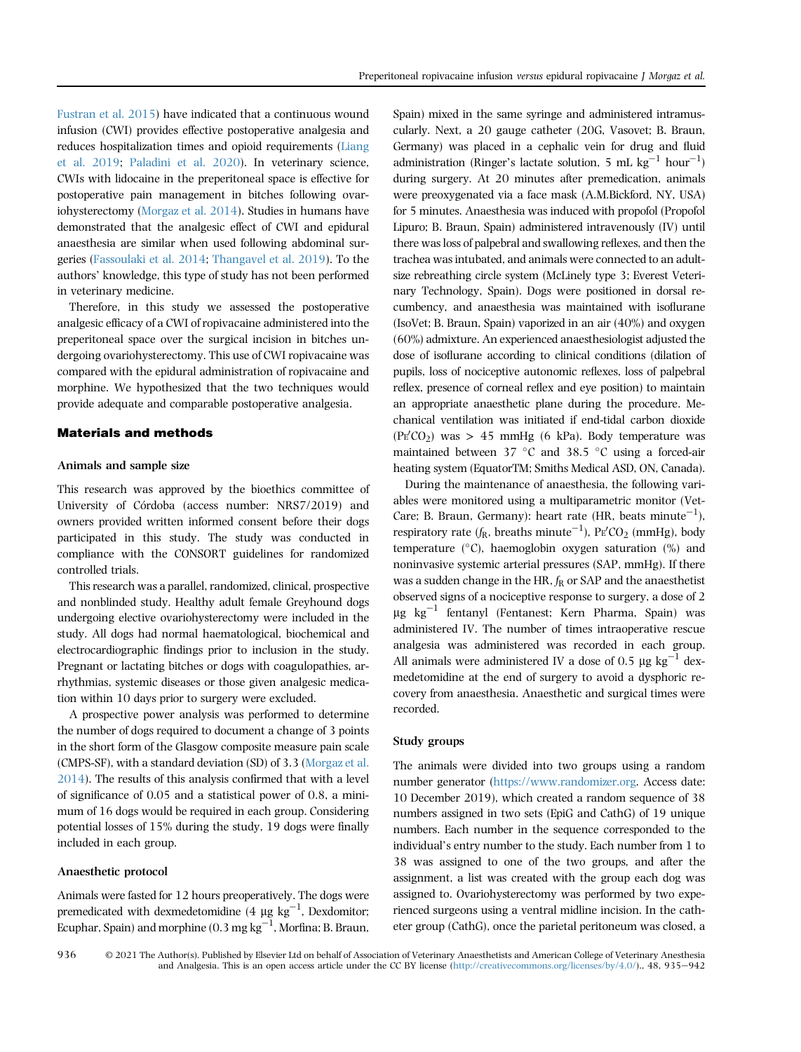[Fustran et al. 2015\)](#page-6-4) have indicated that a continuous wound infusion (CWI) provides effective postoperative analgesia and reduces hospitalization times and opioid requirements ([Liang](#page-7-5) [et al. 2019](#page-7-5); [Paladini et al. 2020\)](#page-7-6). In veterinary science, CWIs with lidocaine in the preperitoneal space is effective for postoperative pain management in bitches following ovariohysterectomy [\(Morgaz et al. 2014\)](#page-7-7). Studies in humans have demonstrated that the analgesic effect of CWI and epidural anaesthesia are similar when used following abdominal surgeries ([Fassoulaki et al. 2014](#page-6-5); [Thangavel et al. 2019](#page-7-8)). To the authors' knowledge, this type of study has not been performed in veterinary medicine.

Therefore, in this study we assessed the postoperative analgesic efficacy of a CWI of ropivacaine administered into the preperitoneal space over the surgical incision in bitches undergoing ovariohysterectomy. This use of CWI ropivacaine was compared with the epidural administration of ropivacaine and morphine. We hypothesized that the two techniques would provide adequate and comparable postoperative analgesia.

#### Materials and methods

#### Animals and sample size

This research was approved by the bioethics committee of University of Córdoba (access number: NRS7/2019) and owners provided written informed consent before their dogs participated in this study. The study was conducted in compliance with the CONSORT guidelines for randomized controlled trials.

This research was a parallel, randomized, clinical, prospective and nonblinded study. Healthy adult female Greyhound dogs undergoing elective ovariohysterectomy were included in the study. All dogs had normal haematological, biochemical and electrocardiographic findings prior to inclusion in the study. Pregnant or lactating bitches or dogs with coagulopathies, arrhythmias, systemic diseases or those given analgesic medication within 10 days prior to surgery were excluded.

A prospective power analysis was performed to determine the number of dogs required to document a change of 3 points in the short form of the Glasgow composite measure pain scale (CMPS-SF), with a standard deviation (SD) of 3.3 [\(Morgaz et al.](#page-7-7) [2014](#page-7-7)). The results of this analysis confirmed that with a level of significance of 0.05 and a statistical power of 0.8, a minimum of 16 dogs would be required in each group. Considering potential losses of 15% during the study, 19 dogs were finally included in each group.

#### Anaesthetic protocol

Animals were fasted for 12 hours preoperatively. The dogs were premedicated with dexmedetomidine  $(4 \mu g kg^{-1})$ , Dexdomitor;  $\stackrel{\sim}{{\rm E}}$ cuphar, Spain) and morphine (0.3 mg kg $^{-1}$ , Morfina; B. Braun,

Spain) mixed in the same syringe and administered intramuscularly. Next, a 20 gauge catheter (20G, Vasovet; B. Braun, Germany) was placed in a cephalic vein for drug and fluid Germany) was placed in a cephalic vein for drug and fluid administration (Ringer's lactate solution, 5 mL kg<sup>-1</sup> hour<sup>-1</sup>) during surgery. At 20 minutes after premedication, animals were preoxygenated via a face mask (A.M.Bickford, NY, USA) for 5 minutes. Anaesthesia was induced with propofol (Propofol Lipuro; B. Braun, Spain) administered intravenously (IV) until there was loss of palpebral and swallowing reflexes, and then the trachea was intubated, and animals were connected to an adultsize rebreathing circle system (McLinely type 3; Everest Veterinary Technology, Spain). Dogs were positioned in dorsal recumbency, and anaesthesia was maintained with isoflurane (IsoVet; B. Braun, Spain) vaporized in an air (40%) and oxygen (60%) admixture. An experienced anaesthesiologist adjusted the dose of isoflurane according to clinical conditions (dilation of pupils, loss of nociceptive autonomic reflexes, loss of palpebral reflex, presence of corneal reflex and eye position) to maintain an appropriate anaesthetic plane during the procedure. Mechanical ventilation was initiated if end-tidal carbon dioxide  $(PE'CO<sub>2</sub>)$  was > 45 mmHg (6 kPa). Body temperature was maintained between  $37 °C$  and  $38.5 °C$  using a forced-air heating system (EquatorTM; Smiths Medical ASD, ON, Canada).

During the maintenance of anaesthesia, the following variables were monitored using a multiparametric monitor (Vet-Care; B. Braun, Germany): heart rate (HR, beats minute $^{-1}$ ), respiratory rate  $(f_R, \text{breakhs minute}^{-1})$ , Pr<sup>'</sup>CO<sub>2</sub> (mmHg), body<br>temperature (°C), hoemoglebin, express estudient (°C), and temperature ( $\degree$ C), haemoglobin oxygen saturation (%) and noninvasive systemic arterial pressures (SAP, mmHg). If there was a sudden change in the HR,  $f_R$  or SAP and the anaesthetist observed signs of a nociceptive response to surgery, a dose of 2  $\mu$ g kg<sup>-1</sup> fentanyl (Fentanest; Kern Pharma, Spain) was administered IV. The number of times intraoperative rescue analgesia was administered was recorded in each group. All animals were administered IV a dose of 0.5  $\mu$ g kg<sup>-1</sup> dexmedetomidine at the end of surgery to avoid a dysphoric recovery from anaesthesia. Anaesthetic and surgical times were recorded.

### Study groups

The animals were divided into two groups using a random number generator ([https://www.randomizer.org.](https://www.randomizer.org) Access date: 10 December 2019), which created a random sequence of 38 numbers assigned in two sets (EpiG and CathG) of 19 unique numbers. Each number in the sequence corresponded to the individual's entry number to the study. Each number from 1 to 38 was assigned to one of the two groups, and after the assignment, a list was created with the group each dog was assigned to. Ovariohysterectomy was performed by two experienced surgeons using a ventral midline incision. In the catheter group (CathG), once the parietal peritoneum was closed, a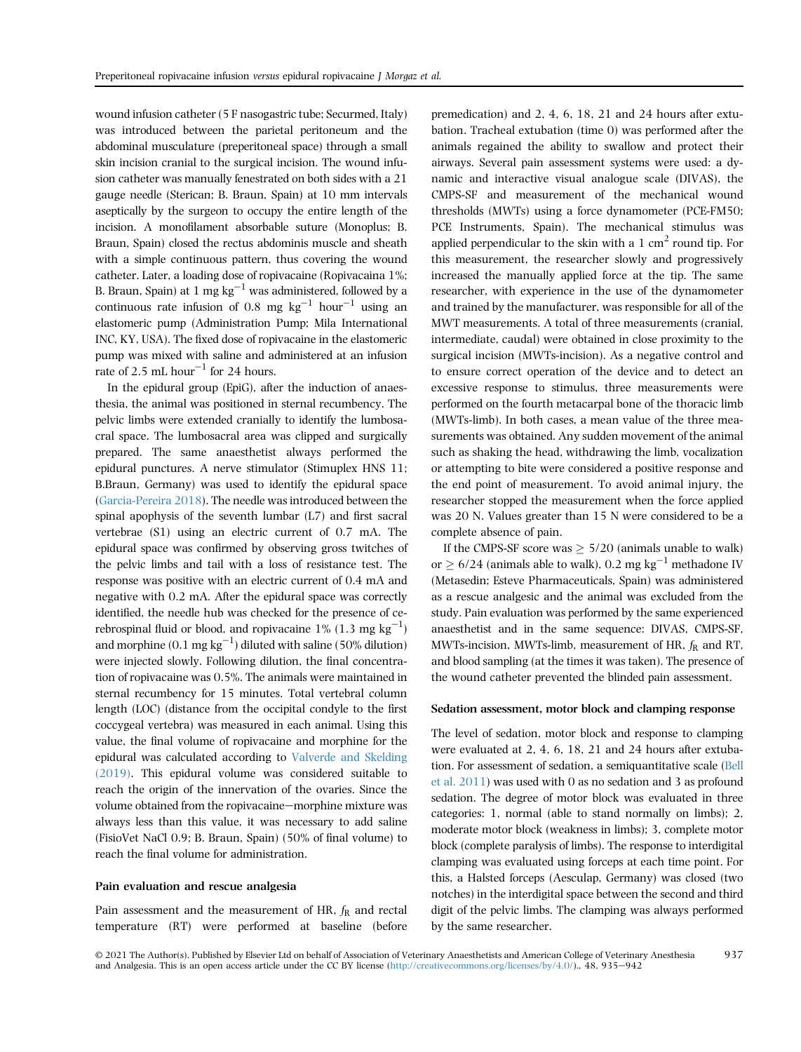wound infusion catheter (5 F nasogastric tube; Securmed, Italy) was introduced between the parietal peritoneum and the abdominal musculature (preperitoneal space) through a small skin incision cranial to the surgical incision. The wound infusion catheter was manually fenestrated on both sides with a 21 gauge needle (Sterican; B. Braun, Spain) at 10 mm intervals aseptically by the surgeon to occupy the entire length of the incision. A monofilament absorbable suture (Monoplus; B. Braun, Spain) closed the rectus abdominis muscle and sheath with a simple continuous pattern, thus covering the wound catheter. Later, a loading dose of ropivacaine (Ropivacaina 1%; B. Braun, Spain) at 1 mg kg<sup>-1</sup> was administered, followed by a continuous rate infusion of 0.8 mg  $kg^{-1}$  hour<sup>-1</sup> using an elastomeric pump (Administration Pump; Mila International INC, KY, USA). The fixed dose of ropivacaine in the elastomeric pump was mixed with saline and administered at an infusion rate of 2.5 mL hour<sup>-1</sup> for 24 hours.

In the epidural group (EpiG), after the induction of anaesthesia, the animal was positioned in sternal recumbency. The pelvic limbs were extended cranially to identify the lumbosacral space. The lumbosacral area was clipped and surgically prepared. The same anaesthetist always performed the epidural punctures. A nerve stimulator (Stimuplex HNS 11; B.Braun, Germany) was used to identify the epidural space ([Garcia-Pereira 2018](#page-6-1)). The needle was introduced between the spinal apophysis of the seventh lumbar (L7) and first sacral vertebrae (S1) using an electric current of 0.7 mA. The epidural space was confirmed by observing gross twitches of the pelvic limbs and tail with a loss of resistance test. The response was positive with an electric current of 0.4 mA and negative with 0.2 mA. After the epidural space was correctly identified, the needle hub was checked for the presence of cerebrospinal fluid or blood, and ropivacaine  $1\%$  (1.3 mg kg<sup>-1</sup>) and morphine  $(0.1 \text{ mg kg}^{-1})$  diluted with saline (50% dilution) were injected slowly. Following dilution, the final concentration of ropivacaine was 0.5%. The animals were maintained in sternal recumbency for 15 minutes. Total vertebral column length (LOC) (distance from the occipital condyle to the first coccygeal vertebra) was measured in each animal. Using this value, the final volume of ropivacaine and morphine for the epidural was calculated according to [Valverde and Skelding](#page-7-9) [\(2019\)](#page-7-9). This epidural volume was considered suitable to reach the origin of the innervation of the ovaries. Since the volume obtained from the ropivacaine—morphine mixture was always less than this value, it was necessary to add saline (FisioVet NaCl 0.9; B. Braun, Spain) (50% of final volume) to reach the final volume for administration.

#### Pain evaluation and rescue analgesia

Pain assessment and the measurement of HR,  $f_R$  and rectal temperature (RT) were performed at baseline (before premedication) and 2, 4, 6, 18, 21 and 24 hours after extubation. Tracheal extubation (time 0) was performed after the animals regained the ability to swallow and protect their airways. Several pain assessment systems were used: a dynamic and interactive visual analogue scale (DIVAS), the CMPS-SF and measurement of the mechanical wound thresholds (MWTs) using a force dynamometer (PCE-FM50; PCE Instruments, Spain). The mechanical stimulus was applied perpendicular to the skin with a  $1 \text{ cm}^2$  round tip. For this measurement, the researcher slowly and progressively increased the manually applied force at the tip. The same researcher, with experience in the use of the dynamometer and trained by the manufacturer, was responsible for all of the MWT measurements. A total of three measurements (cranial, intermediate, caudal) were obtained in close proximity to the surgical incision (MWTs-incision). As a negative control and to ensure correct operation of the device and to detect an excessive response to stimulus, three measurements were performed on the fourth metacarpal bone of the thoracic limb (MWTs-limb). In both cases, a mean value of the three measurements was obtained. Any sudden movement of the animal such as shaking the head, withdrawing the limb, vocalization or attempting to bite were considered a positive response and the end point of measurement. To avoid animal injury, the researcher stopped the measurement when the force applied was 20 N. Values greater than 15 N were considered to be a complete absence of pain.

If the CMPS-SF score was  $\geq 5/20$  (animals unable to walk) or  $> 6/24$  (animals able to walk), 0.2 mg kg<sup>-1</sup> methadone IV (Metasedin; Esteve Pharmaceuticals, Spain) was administered as a rescue analgesic and the animal was excluded from the study. Pain evaluation was performed by the same experienced anaesthetist and in the same sequence: DIVAS, CMPS-SF, MWTs-incision, MWTs-limb, measurement of HR,  $f_R$  and RT, and blood sampling (at the times it was taken). The presence of the wound catheter prevented the blinded pain assessment.

#### Sedation assessment, motor block and clamping response

The level of sedation, motor block and response to clamping were evaluated at 2, 4, 6, 18, 21 and 24 hours after extubation. For assessment of sedation, a semiquantitative scale [\(Bell](#page-6-6) [et al. 2011\)](#page-6-6) was used with 0 as no sedation and 3 as profound sedation. The degree of motor block was evaluated in three categories: 1, normal (able to stand normally on limbs); 2, moderate motor block (weakness in limbs); 3, complete motor block (complete paralysis of limbs). The response to interdigital clamping was evaluated using forceps at each time point. For this, a Halsted forceps (Aesculap, Germany) was closed (two notches) in the interdigital space between the second and third digit of the pelvic limbs. The clamping was always performed by the same researcher.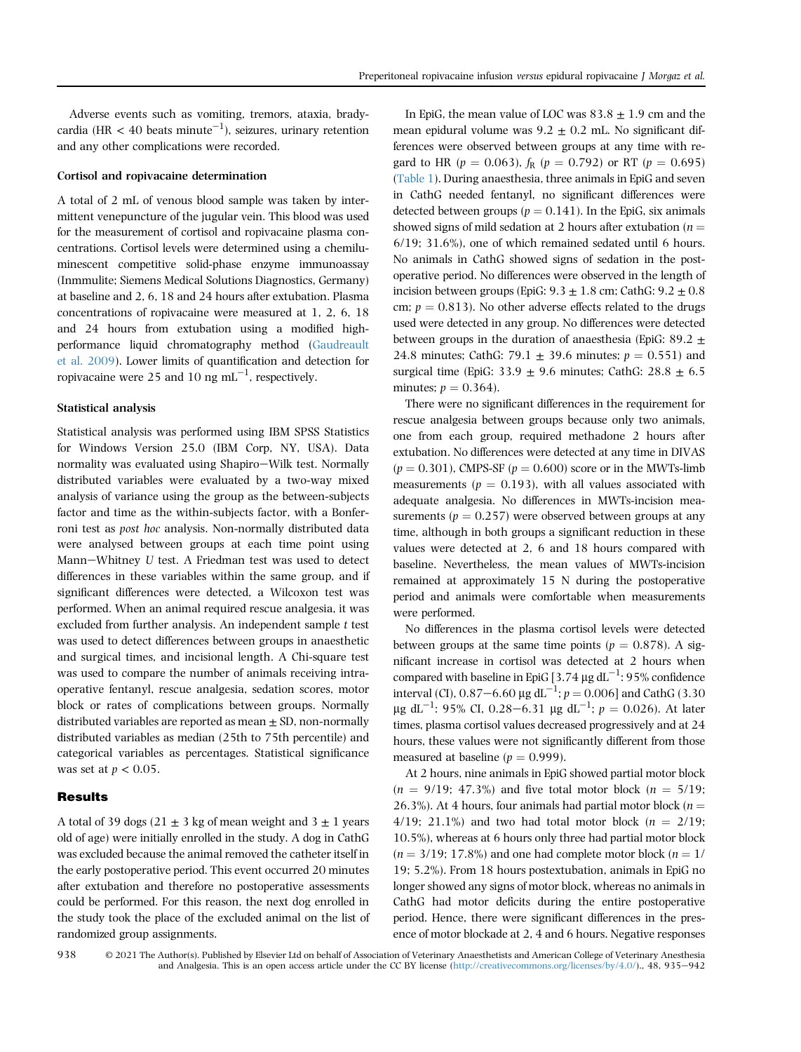Adverse events such as vomiting, tremors, ataxia, bradycardia (HR < 40 beats minute<sup>-1</sup>), seizures, urinary retention and any other complications were recorded.

#### Cortisol and ropivacaine determination

A total of 2 mL of venous blood sample was taken by intermittent venepuncture of the jugular vein. This blood was used for the measurement of cortisol and ropivacaine plasma concentrations. Cortisol levels were determined using a chemiluminescent competitive solid-phase enzyme immunoassay (Inmmulite; Siemens Medical Solutions Diagnostics, Germany) at baseline and 2, 6, 18 and 24 hours after extubation. Plasma concentrations of ropivacaine were measured at 1, 2, 6, 18 and 24 hours from extubation using a modified highperformance liquid chromatography method [\(Gaudreault](#page-6-7) [et al. 2009\)](#page-6-7). Lower limits of quantification and detection for ropivacaine were 25 and 10  $\text{ng mL}^{-1}$ , respectively.

#### Statistical analysis

Statistical analysis was performed using IBM SPSS Statistics for Windows Version 25.0 (IBM Corp, NY, USA). Data normality was evaluated using Shapiro-Wilk test. Normally distributed variables were evaluated by a two-way mixed analysis of variance using the group as the between-subjects factor and time as the within-subjects factor, with a Bonferroni test as post hoc analysis. Non-normally distributed data were analysed between groups at each time point using Mann-Whitney U test. A Friedman test was used to detect differences in these variables within the same group, and if significant differences were detected, a Wilcoxon test was performed. When an animal required rescue analgesia, it was excluded from further analysis. An independent sample t test was used to detect differences between groups in anaesthetic and surgical times, and incisional length. A Chi-square test was used to compare the number of animals receiving intraoperative fentanyl, rescue analgesia, sedation scores, motor block or rates of complications between groups. Normally distributed variables are reported as mean  $\pm$  SD, non-normally distributed variables as median (25th to 75th percentile) and categorical variables as percentages. Statistical significance was set at  $p < 0.05$ .

# **Results**

A total of 39 dogs (21  $\pm$  3 kg of mean weight and 3  $\pm$  1 years old of age) were initially enrolled in the study. A dog in CathG was excluded because the animal removed the catheter itself in the early postoperative period. This event occurred 20 minutes after extubation and therefore no postoperative assessments could be performed. For this reason, the next dog enrolled in the study took the place of the excluded animal on the list of randomized group assignments.

In EpiG, the mean value of LOC was  $83.8 \pm 1.9$  cm and the mean epidural volume was  $9.2 \pm 0.2$  mL. No significant differences were observed between groups at any time with regard to HR ( $p = 0.063$ ),  $f_R$  ( $p = 0.792$ ) or RT ( $p = 0.695$ ) [\(Table 1\)](#page-4-0). During anaesthesia, three animals in EpiG and seven in CathG needed fentanyl, no significant differences were detected between groups ( $p = 0.141$ ). In the EpiG, six animals showed signs of mild sedation at 2 hours after extubation ( $n =$ 6/19; 31.6%), one of which remained sedated until 6 hours. No animals in CathG showed signs of sedation in the postoperative period. No differences were observed in the length of incision between groups (EpiG:  $9.3 \pm 1.8$  cm; CathG:  $9.2 \pm 0.8$ cm;  $p = 0.813$ ). No other adverse effects related to the drugs used were detected in any group. No differences were detected between groups in the duration of anaesthesia (EpiG: 89.2  $\pm$ 24.8 minutes; CathG: 79.1  $\pm$  39.6 minutes;  $p = 0.551$ ) and surgical time (EpiG: 33.9  $\pm$  9.6 minutes; CathG: 28.8  $\pm$  6.5 minutes;  $p = 0.364$ .

There were no significant differences in the requirement for rescue analgesia between groups because only two animals, one from each group, required methadone 2 hours after extubation. No differences were detected at any time in DIVAS  $(p = 0.301)$ , CMPS-SF  $(p = 0.600)$  score or in the MWTs-limb measurements ( $p = 0.193$ ), with all values associated with adequate analgesia. No differences in MWTs-incision measurements ( $p = 0.257$ ) were observed between groups at any time, although in both groups a significant reduction in these values were detected at 2, 6 and 18 hours compared with baseline. Nevertheless, the mean values of MWTs-incision remained at approximately 15 N during the postoperative period and animals were comfortable when measurements were performed.

No differences in the plasma cortisol levels were detected between groups at the same time points ( $p = 0.878$ ). A significant increase in cortisol was detected at 2 hours when compared with baseline in EpiG [3.74  $\mu$ g dL<sup>-1</sup>: 95% confidence interval (CI),  $0.87-6.60 \mu g dL^{-1}$ ;  $p = 0.006$ ] and CathG (3.30  $\mu$ g dL<sup>-1</sup>: 95% CI, 0.28-6.31  $\mu$ g dL<sup>-1</sup>;  $p = 0.026$ ). At later<br>times plasma certical values degreesed progressively and at 24 times, plasma cortisol values decreased progressively and at 24 hours, these values were not significantly different from those measured at baseline ( $p = 0.999$ ).

At 2 hours, nine animals in EpiG showed partial motor block  $(n = 9/19; 47.3\%)$  and five total motor block  $(n = 5/19;$ 26.3%). At 4 hours, four animals had partial motor block ( $n =$ 4/19; 21.1%) and two had total motor block  $(n = 2/19;$ 10.5%), whereas at 6 hours only three had partial motor block  $(n = 3/19; 17.8\%)$  and one had complete motor block  $(n = 1/19)$ 19; 5.2%). From 18 hours postextubation, animals in EpiG no longer showed any signs of motor block, whereas no animals in CathG had motor deficits during the entire postoperative period. Hence, there were significant differences in the presence of motor blockade at 2, 4 and 6 hours. Negative responses

© 2021 The Author(s). Published by Elsevier Ltd on behalf of Association of Veterinary Anaesthetists and American College of Veterinary Anesthesia and Analgesia. This is an open access article under the CC BY license (<http://creativecommons.org/licenses/by/4.0/>)., 48, 935-942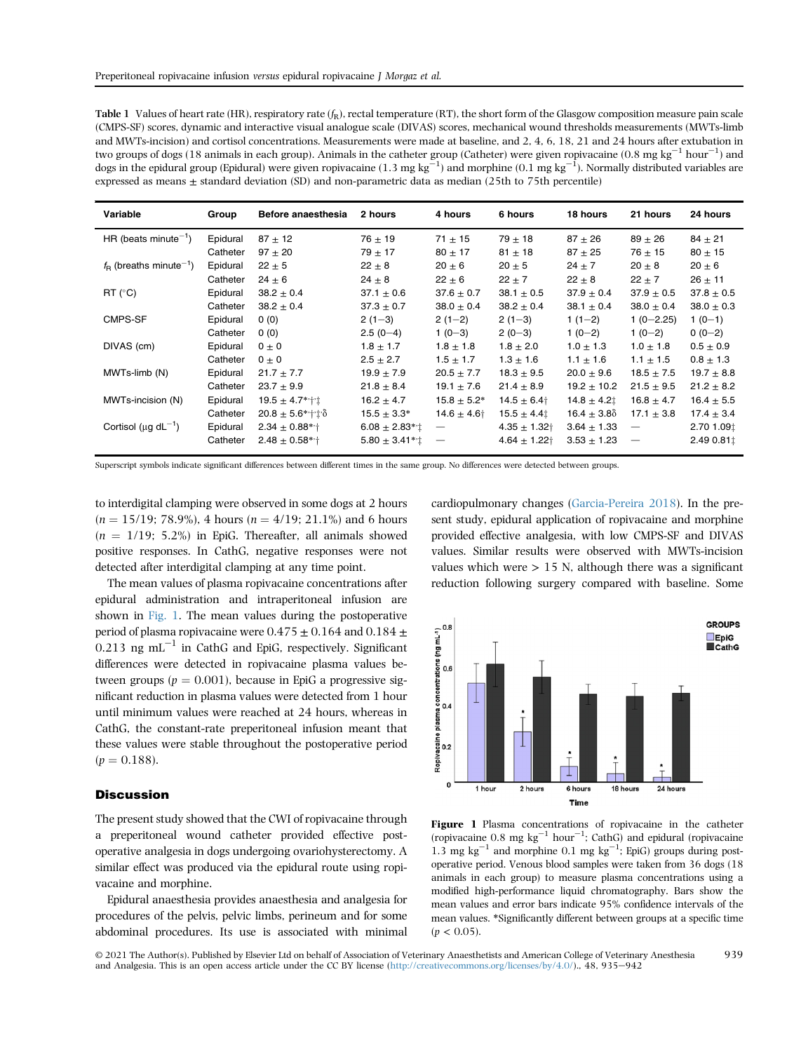<span id="page-4-0"></span>

| <b>Table 1</b> Values of heart rate (HR), respiratory rate $(f_R)$ , rectal temperature (RT), the short form of the Glasgow composition measure pain scale          |
|---------------------------------------------------------------------------------------------------------------------------------------------------------------------|
| (CMPS-SF) scores, dynamic and interactive visual analogue scale (DIVAS) scores, mechanical wound thresholds measurements (MWTs-limb                                 |
| and MWTs-incision) and cortisol concentrations. Measurements were made at baseline, and 2, 4, 6, 18, 21 and 24 hours after extubation in                            |
| two groups of dogs (18 animals in each group). Animals in the catheter group (Catheter) were given ropivacaine (0.8 mg kg <sup>-1</sup> hour <sup>-1</sup> ) and    |
| dogs in the epidural group (Epidural) were given ropivacaine (1.3 mg kg <sup>-1</sup> ) and morphine (0.1 mg kg <sup>-1</sup> ). Normally distributed variables are |
| expressed as means $\pm$ standard deviation (SD) and non-parametric data as median (25th to 75th percentile)                                                        |

| Variable                                    | Group    | Before anaesthesia             | 2 hours                  | 4 hours                  | 6 hours                      | 18 hours        | 21 hours                         | 24 hours       |
|---------------------------------------------|----------|--------------------------------|--------------------------|--------------------------|------------------------------|-----------------|----------------------------------|----------------|
| HR (beats minute <sup>-1</sup> )            | Epidural | $87 \pm 12$                    | $76 \pm 19$              | $71 \pm 15$              | $79 \pm 18$                  | $87 + 26$       | $89 \pm 26$                      | $84 \pm 21$    |
|                                             | Catheter | $97 + 20$                      | $79 \pm 17$              | $80 \pm 17$              | $81 \pm 18$                  | $87 + 25$       | $76 \pm 15$                      | $80 \pm 15$    |
| $f_{\rm B}$ (breaths minute <sup>-1</sup> ) | Epidural | $22 \pm 5$                     | $22 \pm 8$               | $20 \pm 6$               | $20 \pm 5$                   | $24 \pm 7$      | $20 \pm 8$                       | $20 \pm 6$     |
|                                             | Catheter | $24 \pm 6$                     | $24 \pm 8$               | $22 \pm 6$               | $22 \pm 7$                   | $22 \pm 8$      | $22 \pm 7$                       | $26 \pm 11$    |
| $RT$ ( $°C$ )                               | Epidural | $38.2 \pm 0.4$                 | $37.1 \pm 0.6$           | $37.6 \pm 0.7$           | $38.1 \pm 0.5$               | $37.9 \pm 0.4$  | $37.9 \pm 0.5$                   | $37.8 \pm 0.5$ |
|                                             | Catheter | $38.2 \pm 0.4$                 | $37.3 \pm 0.7$           | $38.0 \pm 0.4$           | $38.2 \pm 0.4$               | $38.1 \pm 0.4$  | $38.0 \pm 0.4$                   | $38.0 \pm 0.3$ |
| CMPS-SF                                     | Epidural | 0(0)                           | $2(1-3)$                 | $2(1-2)$                 | $2(1-3)$                     | $1(1-2)$        | $1(0-2.25)$                      | $1(0-1)$       |
|                                             | Catheter | 0(0)                           | $2.5(0-4)$               | $1(0-3)$                 | $2(0-3)$                     | $1(0-2)$        | $1(0-2)$                         | $0(0-2)$       |
| DIVAS (cm)                                  | Epidural | $0 \pm 0$                      | $1.8 \pm 1.7$            | $1.8 \pm 1.8$            | $1.8 \pm 2.0$                | $1.0 \pm 1.3$   | $1.0 \pm 1.8$                    | $0.5 \pm 0.9$  |
|                                             | Catheter | $0 \pm 0$                      | $2.5 \pm 2.7$            | $1.5 \pm 1.7$            | $1.3 \pm 1.6$                | $1.1 \pm 1.6$   | $1.1 \pm 1.5$                    | $0.8 \pm 1.3$  |
| MWTs-limb (N)                               | Epidural | $21.7 \pm 7.7$                 | $19.9 \pm 7.9$           | $20.5 \pm 7.7$           | $18.3 \pm 9.5$               | $20.0 \pm 9.6$  | $18.5 \pm 7.5$                   | $19.7 \pm 8.8$ |
|                                             | Catheter | $23.7 \pm 9.9$                 | $21.8 \pm 8.4$           | $19.1 \pm 7.6$           | $21.4 \pm 8.9$               | $19.2 \pm 10.2$ | $21.5 \pm 9.5$                   | $21.2 \pm 8.2$ |
| MWTs-incision (N)                           | Epidural | $19.5 \pm 4.7$ ** $\pm$        | $16.2 \pm 4.7$           | $15.8 \pm 5.2*$          | $14.5 \pm 6.4$               | $14.8 \pm 4.21$ | $16.8 \pm 4.7$                   | $16.4 \pm 5.5$ |
|                                             | Catheter | $20.8 \pm 5.6$ * $\pm \hat{ }$ | $15.5 \pm 3.3*$          | $14.6 \pm 4.6$           | $15.5 \pm 4.4$               | $16.4 \pm 3.80$ | $17.1 \pm 3.8$                   | $17.4 \pm 3.4$ |
| Cortisol ( $\mu$ g d $L^{-1}$ )             | Epidural | $2.34 \pm 0.88$ * $\dagger$    | $6.08 \pm 2.83$ */ $\pm$ |                          | $4.35 \pm 1.32$ <sup>+</sup> | $3.64 \pm 1.33$ | $\overbrace{\phantom{12322111}}$ | 2.70 1.09 ±    |
|                                             | Catheter | $2.48 \pm 0.58$ *'†            | $5.80 \pm 3.41$ *' $\pm$ | $\overline{\phantom{m}}$ | $4.64 \pm 1.22$ <sup>+</sup> | $3.53 \pm 1.23$ | $\overline{\phantom{m}}$         | 2.49 0.81 ±    |

Superscript symbols indicate significant differences between different times in the same group. No differences were detected between groups.

to interdigital clamping were observed in some dogs at 2 hours  $(n = 15/19; 78.9\%)$ , 4 hours  $(n = 4/19; 21.1\%)$  and 6 hours  $(n = 1/19; 5.2\%)$  in EpiG. Thereafter, all animals showed positive responses. In CathG, negative responses were not detected after interdigital clamping at any time point.

The mean values of plasma ropivacaine concentrations after epidural administration and intraperitoneal infusion are shown in [Fig. 1.](#page-4-1) The mean values during the postoperative period of plasma ropivacaine were  $0.475 \pm 0.164$  and  $0.184 \pm$  $0.213$  ng mL<sup>-1</sup> in CathG and EpiG, respectively. Significant differences were detected in ropivacaine plasma values between groups ( $p = 0.001$ ), because in EpiG a progressive significant reduction in plasma values were detected from 1 hour until minimum values were reached at 24 hours, whereas in CathG, the constant-rate preperitoneal infusion meant that these values were stable throughout the postoperative period  $(p = 0.188)$ .

# **Discussion**

The present study showed that the CWI of ropivacaine through a preperitoneal wound catheter provided effective postoperative analgesia in dogs undergoing ovariohysterectomy. A similar effect was produced via the epidural route using ropivacaine and morphine.

Epidural anaesthesia provides anaesthesia and analgesia for procedures of the pelvis, pelvic limbs, perineum and for some abdominal procedures. Its use is associated with minimal cardiopulmonary changes [\(Garcia-Pereira 2018\)](#page-6-1). In the present study, epidural application of ropivacaine and morphine provided effective analgesia, with low CMPS-SF and DIVAS values. Similar results were observed with MWTs-incision values which were  $> 15$  N, although there was a significant reduction following surgery compared with baseline. Some

<span id="page-4-1"></span>

Figure 1 Plasma concentrations of ropivacaine in the catheter (ropivacaine  $0.8 \text{ mg kg}^{-1} \text{ hour}^{-1}$ ; CathG) and epidural (ropivacaine 1.3 mg kg<sup>-1</sup> and morphine 0.1 mg kg<sup>-1</sup>; EpiG) groups during postoperative period. Venous blood samples were taken from 36 dogs (18 animals in each group) to measure plasma concentrations using a modified high-performance liquid chromatography. Bars show the mean values and error bars indicate 95% confidence intervals of the mean values. \*Significantly different between groups at a specific time  $(p < 0.05)$ .

© 2021 The Author(s). Published by Elsevier Ltd on behalf of Association of Veterinary Anaesthetists and American College of Veterinary Anesthesia and Analgesia. This is an open access article under the CC BY license [\(http://creativecommons.org/licenses/by/4.0/](http://creativecommons.org/licenses/by/4.0/))., 48, 935-942 939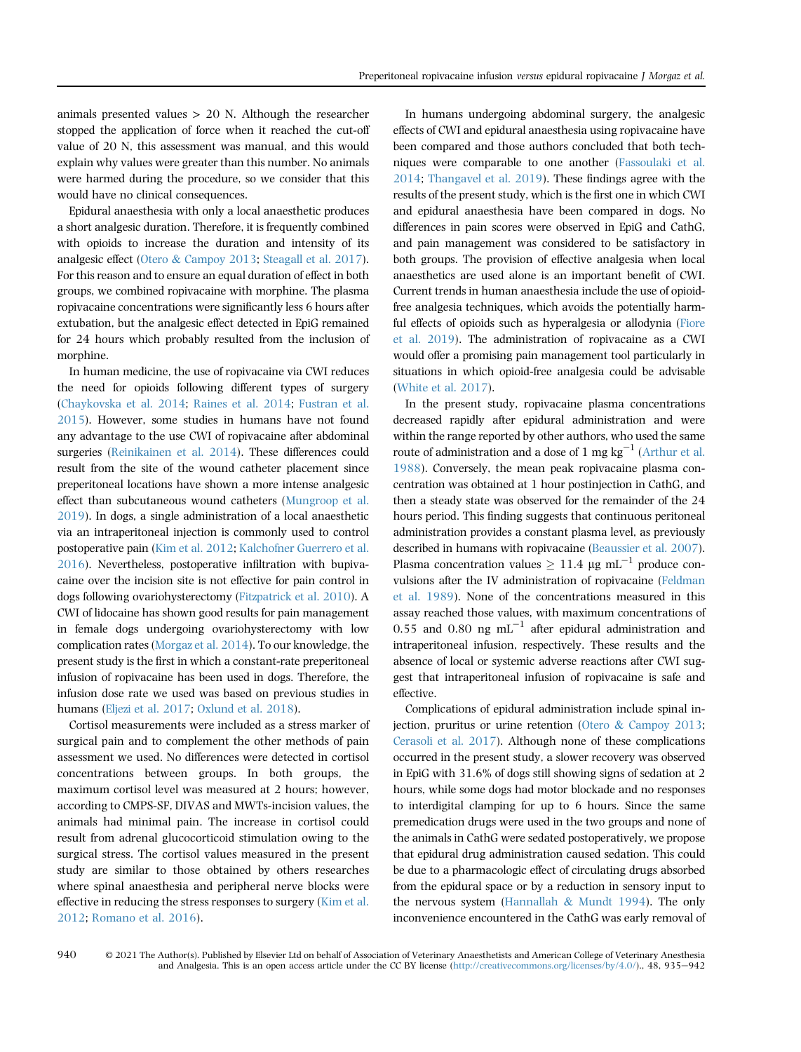animals presented values > 20 N. Although the researcher stopped the application of force when it reached the cut-off value of 20 N, this assessment was manual, and this would explain why values were greater than this number. No animals were harmed during the procedure, so we consider that this would have no clinical consequences.

Epidural anaesthesia with only a local anaesthetic produces a short analgesic duration. Therefore, it is frequently combined with opioids to increase the duration and intensity of its analgesic effect ([Otero](#page-7-10) & [Campoy 2013;](#page-7-10) [Steagall et al. 2017](#page-7-0)). For this reason and to ensure an equal duration of effect in both groups, we combined ropivacaine with morphine. The plasma ropivacaine concentrations were significantly less 6 hours after extubation, but the analgesic effect detected in EpiG remained for 24 hours which probably resulted from the inclusion of morphine.

In human medicine, the use of ropivacaine via CWI reduces the need for opioids following different types of surgery [\(Chaykovska et al. 2014;](#page-6-8) [Raines et al. 2014](#page-7-11); [Fustran et al.](#page-6-4) [2015](#page-6-4)). However, some studies in humans have not found any advantage to the use CWI of ropivacaine after abdominal surgeries ([Reinikainen et al. 2014](#page-7-12)). These differences could result from the site of the wound catheter placement since preperitoneal locations have shown a more intense analgesic effect than subcutaneous wound catheters [\(Mungroop et al.](#page-7-13) [2019](#page-7-13)). In dogs, a single administration of a local anaesthetic via an intraperitoneal injection is commonly used to control postoperative pain ([Kim et al. 2012;](#page-7-2) [Kalchofner Guerrero et al.](#page-7-3) [2016](#page-7-3)). Nevertheless, postoperative infiltration with bupivacaine over the incision site is not effective for pain control in dogs following ovariohysterectomy ([Fitzpatrick et al. 2010\)](#page-6-9). A CWI of lidocaine has shown good results for pain management in female dogs undergoing ovariohysterectomy with low complication rates [\(Morgaz et al. 2014\)](#page-7-7). To our knowledge, the present study is the first in which a constant-rate preperitoneal infusion of ropivacaine has been used in dogs. Therefore, the infusion dose rate we used was based on previous studies in humans ([Eljezi et al. 2017;](#page-6-10) [Oxlund et al. 2018](#page-7-14)).

Cortisol measurements were included as a stress marker of surgical pain and to complement the other methods of pain assessment we used. No differences were detected in cortisol concentrations between groups. In both groups, the maximum cortisol level was measured at 2 hours; however, according to CMPS-SF, DIVAS and MWTs-incision values, the animals had minimal pain. The increase in cortisol could result from adrenal glucocorticoid stimulation owing to the surgical stress. The cortisol values measured in the present study are similar to those obtained by others researches where spinal anaesthesia and peripheral nerve blocks were effective in reducing the stress responses to surgery ([Kim et al.](#page-7-2) [2012](#page-7-2); [Romano et al. 2016](#page-7-15)).

In humans undergoing abdominal surgery, the analgesic effects of CWI and epidural anaesthesia using ropivacaine have been compared and those authors concluded that both techniques were comparable to one another [\(Fassoulaki et al.](#page-6-5) [2014](#page-6-5); [Thangavel et al. 2019](#page-7-8)). These findings agree with the results of the present study, which is the first one in which CWI and epidural anaesthesia have been compared in dogs. No differences in pain scores were observed in EpiG and CathG, and pain management was considered to be satisfactory in both groups. The provision of effective analgesia when local anaesthetics are used alone is an important benefit of CWI. Current trends in human anaesthesia include the use of opioidfree analgesia techniques, which avoids the potentially harmful effects of opioids such as hyperalgesia or allodynia ([Fiore](#page-6-11) [et al. 2019](#page-6-11)). The administration of ropivacaine as a CWI would offer a promising pain management tool particularly in situations in which opioid-free analgesia could be advisable [\(White et al. 2017\)](#page-7-16).

In the present study, ropivacaine plasma concentrations decreased rapidly after epidural administration and were within the range reported by other authors, who used the same route of administration and a dose of 1 mg  $kg^{-1}$  ([Arthur et al.](#page-6-12) [1988](#page-6-12)). Conversely, the mean peak ropivacaine plasma concentration was obtained at 1 hour postinjection in CathG, and then a steady state was observed for the remainder of the 24 hours period. This finding suggests that continuous peritoneal administration provides a constant plasma level, as previously described in humans with ropivacaine [\(Beaussier et al. 2007](#page-6-13)). Plasma concentration values  $> 11.4$  µg mL<sup>-1</sup> produce convulsions after the IV administration of ropivacaine [\(Feldman](#page-6-14) [et al. 1989](#page-6-14)). None of the concentrations measured in this assay reached those values, with maximum concentrations of 0.55 and 0.80 ng  $mL^{-1}$  after epidural administration and intraperitoneal infusion, respectively. These results and the absence of local or systemic adverse reactions after CWI suggest that intraperitoneal infusion of ropivacaine is safe and effective.

Complications of epidural administration include spinal injection, pruritus or urine retention ([Otero](#page-7-10) & [Campoy 2013](#page-7-10); [Cerasoli et al. 2017](#page-6-2)). Although none of these complications occurred in the present study, a slower recovery was observed in EpiG with 31.6% of dogs still showing signs of sedation at 2 hours, while some dogs had motor blockade and no responses to interdigital clamping for up to 6 hours. Since the same premedication drugs were used in the two groups and none of the animals in CathG were sedated postoperatively, we propose that epidural drug administration caused sedation. This could be due to a pharmacologic effect of circulating drugs absorbed from the epidural space or by a reduction in sensory input to the nervous system [\(Hannallah](#page-7-17) & [Mundt 1994](#page-7-17)). The only inconvenience encountered in the CathG was early removal of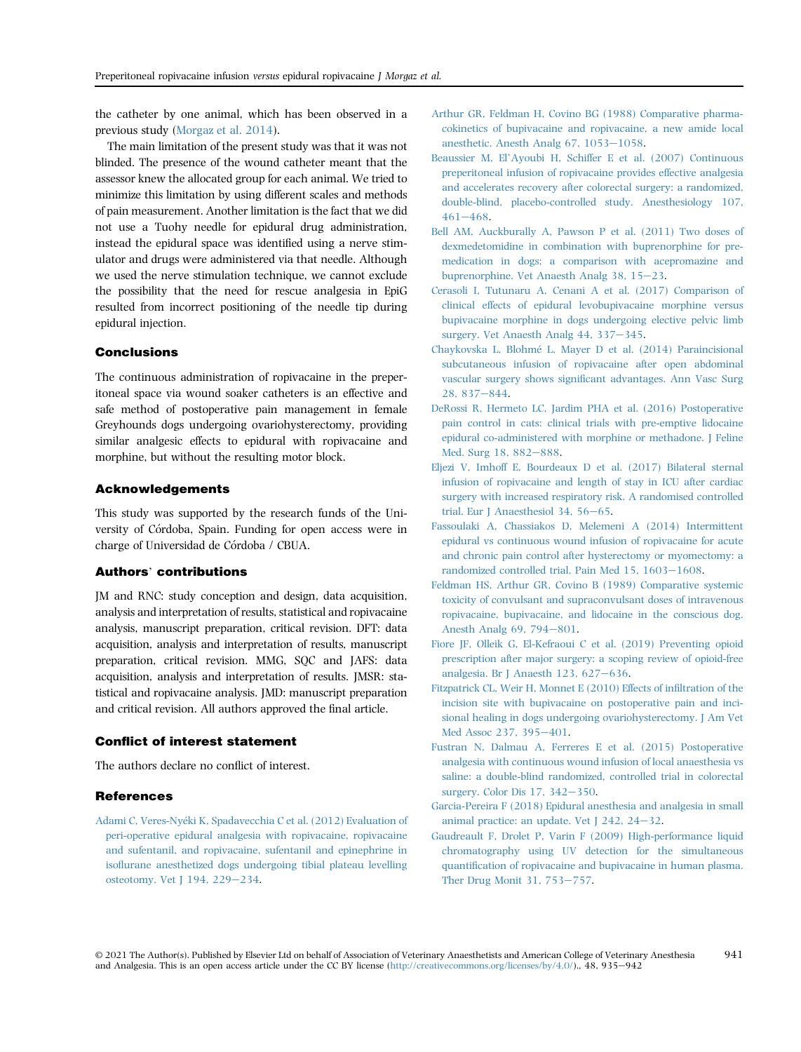the catheter by one animal, which has been observed in a previous study [\(Morgaz et al. 2014](#page-7-7)).

The main limitation of the present study was that it was not blinded. The presence of the wound catheter meant that the assessor knew the allocated group for each animal. We tried to minimize this limitation by using different scales and methods of pain measurement. Another limitation is the fact that we did not use a Tuohy needle for epidural drug administration, instead the epidural space was identified using a nerve stimulator and drugs were administered via that needle. Although we used the nerve stimulation technique, we cannot exclude the possibility that the need for rescue analgesia in EpiG resulted from incorrect positioning of the needle tip during epidural injection.

## Conclusions

The continuous administration of ropivacaine in the preperitoneal space via wound soaker catheters is an effective and safe method of postoperative pain management in female Greyhounds dogs undergoing ovariohysterectomy, providing similar analgesic effects to epidural with ropivacaine and morphine, but without the resulting motor block.

#### Acknowledgements

This study was supported by the research funds of the University of Córdoba, Spain. Funding for open access were in charge of Universidad de Córdoba / CBUA.

# Authors' contributions

JM and RNC: study conception and design, data acquisition, analysis and interpretation of results, statistical and ropivacaine analysis, manuscript preparation, critical revision. DFT: data acquisition, analysis and interpretation of results, manuscript preparation, critical revision. MMG, SQC and JAFS: data acquisition, analysis and interpretation of results. JMSR: statistical and ropivacaine analysis. JMD: manuscript preparation and critical revision. All authors approved the final article.

# Conflict of interest statement

The authors declare no conflict of interest.

# **References**

<span id="page-6-3"></span>[Adami C, Veres-Ny](http://refhub.elsevier.com/S1467-2987(21)00176-8/sref1)e[ki K, Spadavecchia C et al. \(2012\) Evaluation of](http://refhub.elsevier.com/S1467-2987(21)00176-8/sref1) [peri-operative epidural analgesia with ropivacaine, ropivacaine](http://refhub.elsevier.com/S1467-2987(21)00176-8/sref1) [and sufentanil, and ropivacaine, sufentanil and epinephrine in](http://refhub.elsevier.com/S1467-2987(21)00176-8/sref1) isofl[urane anesthetized dogs undergoing tibial plateau levelling](http://refhub.elsevier.com/S1467-2987(21)00176-8/sref1) [osteotomy. Vet J 194, 229](http://refhub.elsevier.com/S1467-2987(21)00176-8/sref1)-[234.](http://refhub.elsevier.com/S1467-2987(21)00176-8/sref1)

- <span id="page-6-12"></span>[Arthur GR, Feldman H, Covino BG \(1988\) Comparative pharma](http://refhub.elsevier.com/S1467-2987(21)00176-8/sref2)[cokinetics of bupivacaine and ropivacaine, a new amide local](http://refhub.elsevier.com/S1467-2987(21)00176-8/sref2) anesthetic. Anesth Analg  $67, 1053-1058$  $67, 1053-1058$ .
- <span id="page-6-13"></span>Beaussier M, El'[Ayoubi H, Schiffer E et al. \(2007\) Continuous](http://refhub.elsevier.com/S1467-2987(21)00176-8/sref3) [preperitoneal infusion of ropivacaine provides effective analgesia](http://refhub.elsevier.com/S1467-2987(21)00176-8/sref3) [and accelerates recovery after colorectal surgery: a randomized,](http://refhub.elsevier.com/S1467-2987(21)00176-8/sref3) [double-blind, placebo-controlled study. Anesthesiology 107,](http://refhub.elsevier.com/S1467-2987(21)00176-8/sref3)  $461 - 468.$  $461 - 468.$  $461 - 468.$  $461 - 468.$
- <span id="page-6-6"></span>[Bell AM, Auckburally A, Pawson P et al. \(2011\) Two doses of](http://refhub.elsevier.com/S1467-2987(21)00176-8/sref4) [dexmedetomidine in combination with buprenorphine for pre](http://refhub.elsevier.com/S1467-2987(21)00176-8/sref4)[medication in dogs; a comparison with acepromazine and](http://refhub.elsevier.com/S1467-2987(21)00176-8/sref4) [buprenorphine. Vet Anaesth Analg 38, 15](http://refhub.elsevier.com/S1467-2987(21)00176-8/sref4)-[23.](http://refhub.elsevier.com/S1467-2987(21)00176-8/sref4)
- <span id="page-6-2"></span>[Cerasoli I, Tutunaru A, Cenani A et al. \(2017\) Comparison of](http://refhub.elsevier.com/S1467-2987(21)00176-8/sref5) [clinical effects of epidural levobupivacaine morphine versus](http://refhub.elsevier.com/S1467-2987(21)00176-8/sref5) [bupivacaine morphine in dogs undergoing elective pelvic limb](http://refhub.elsevier.com/S1467-2987(21)00176-8/sref5) [surgery. Vet Anaesth Analg 44, 337](http://refhub.elsevier.com/S1467-2987(21)00176-8/sref5)-[345](http://refhub.elsevier.com/S1467-2987(21)00176-8/sref5).
- <span id="page-6-8"></span>[Chaykovska L, Blohm](http://refhub.elsevier.com/S1467-2987(21)00176-8/sref6)e [L, Mayer D et al. \(2014\) Paraincisional](http://refhub.elsevier.com/S1467-2987(21)00176-8/sref6) [subcutaneous infusion of ropivacaine after open abdominal](http://refhub.elsevier.com/S1467-2987(21)00176-8/sref6) vascular surgery shows signifi[cant advantages. Ann Vasc Surg](http://refhub.elsevier.com/S1467-2987(21)00176-8/sref6) [28, 837](http://refhub.elsevier.com/S1467-2987(21)00176-8/sref6)-[844.](http://refhub.elsevier.com/S1467-2987(21)00176-8/sref6)
- <span id="page-6-0"></span>[DeRossi R, Hermeto LC, Jardim PHA et al. \(2016\) Postoperative](http://refhub.elsevier.com/S1467-2987(21)00176-8/sref7) [pain control in cats: clinical trials with pre-emptive lidocaine](http://refhub.elsevier.com/S1467-2987(21)00176-8/sref7) [epidural co-administered with morphine or methadone. J Feline](http://refhub.elsevier.com/S1467-2987(21)00176-8/sref7) [Med. Surg 18, 882](http://refhub.elsevier.com/S1467-2987(21)00176-8/sref7)-[888.](http://refhub.elsevier.com/S1467-2987(21)00176-8/sref7)
- <span id="page-6-10"></span>[Eljezi V, Imhoff E, Bourdeaux D et al. \(2017\) Bilateral sternal](http://refhub.elsevier.com/S1467-2987(21)00176-8/sref8) [infusion of ropivacaine and length of stay in ICU after cardiac](http://refhub.elsevier.com/S1467-2987(21)00176-8/sref8) [surgery with increased respiratory risk. A randomised controlled](http://refhub.elsevier.com/S1467-2987(21)00176-8/sref8) [trial. Eur J Anaesthesiol 34, 56](http://refhub.elsevier.com/S1467-2987(21)00176-8/sref8)-[65.](http://refhub.elsevier.com/S1467-2987(21)00176-8/sref8)
- <span id="page-6-5"></span>[Fassoulaki A, Chassiakos D, Melemeni A \(2014\) Intermittent](http://refhub.elsevier.com/S1467-2987(21)00176-8/sref9) [epidural vs continuous wound infusion of ropivacaine for acute](http://refhub.elsevier.com/S1467-2987(21)00176-8/sref9) [and chronic pain control after hysterectomy or myomectomy: a](http://refhub.elsevier.com/S1467-2987(21)00176-8/sref9) [randomized controlled trial. Pain Med 15, 1603](http://refhub.elsevier.com/S1467-2987(21)00176-8/sref9)-[1608.](http://refhub.elsevier.com/S1467-2987(21)00176-8/sref9)
- <span id="page-6-14"></span>[Feldman HS, Arthur GR, Covino B \(1989\) Comparative systemic](http://refhub.elsevier.com/S1467-2987(21)00176-8/sref10) [toxicity of convulsant and supraconvulsant doses of intravenous](http://refhub.elsevier.com/S1467-2987(21)00176-8/sref10) [ropivacaine, bupivacaine, and lidocaine in the conscious dog.](http://refhub.elsevier.com/S1467-2987(21)00176-8/sref10) [Anesth Analg 69, 794](http://refhub.elsevier.com/S1467-2987(21)00176-8/sref10)-[801.](http://refhub.elsevier.com/S1467-2987(21)00176-8/sref10)
- <span id="page-6-11"></span>[Fiore JF, Olleik G, El-Kefraoui C et al. \(2019\) Preventing opioid](http://refhub.elsevier.com/S1467-2987(21)00176-8/sref11) [prescription after major surgery: a scoping review of opioid-free](http://refhub.elsevier.com/S1467-2987(21)00176-8/sref11) analgesia. Br J Anaesth 123,  $627-636$  $627-636$ .
- <span id="page-6-9"></span>[Fitzpatrick CL, Weir H, Monnet E \(2010\) Effects of in](http://refhub.elsevier.com/S1467-2987(21)00176-8/sref12)filtration of the [incision site with bupivacaine on postoperative pain and inci](http://refhub.elsevier.com/S1467-2987(21)00176-8/sref12)[sional healing in dogs undergoing ovariohysterectomy. J Am Vet](http://refhub.elsevier.com/S1467-2987(21)00176-8/sref12) [Med Assoc 237, 395](http://refhub.elsevier.com/S1467-2987(21)00176-8/sref12)-[401](http://refhub.elsevier.com/S1467-2987(21)00176-8/sref12).
- <span id="page-6-4"></span>[Fustran N, Dalmau A, Ferreres E et al. \(2015\) Postoperative](http://refhub.elsevier.com/S1467-2987(21)00176-8/sref13) [analgesia with continuous wound infusion of local anaesthesia vs](http://refhub.elsevier.com/S1467-2987(21)00176-8/sref13) [saline: a double-blind randomized, controlled trial in colorectal](http://refhub.elsevier.com/S1467-2987(21)00176-8/sref13) surgery. Color Dis  $17, 342-350$ .
- <span id="page-6-1"></span>[Garcia-Pereira F \(2018\) Epidural anesthesia and analgesia in small](http://refhub.elsevier.com/S1467-2987(21)00176-8/sref14) animal practice: an update. Vet  $[242, 24-32]$ .
- <span id="page-6-7"></span>[Gaudreault F, Drolet P, Varin F \(2009\) High-performance liquid](http://refhub.elsevier.com/S1467-2987(21)00176-8/sref15) [chromatography using UV detection for the simultaneous](http://refhub.elsevier.com/S1467-2987(21)00176-8/sref15) quantifi[cation of ropivacaine and bupivacaine in human plasma.](http://refhub.elsevier.com/S1467-2987(21)00176-8/sref15) [Ther Drug Monit 31, 753](http://refhub.elsevier.com/S1467-2987(21)00176-8/sref15)-[757.](http://refhub.elsevier.com/S1467-2987(21)00176-8/sref15)

© 2021 The Author(s). Published by Elsevier Ltd on behalf of Association of Veterinary Anaesthetists and American College of Veterinary Anesthesia and Analgesia. This is an open access article under the CC BY license [\(http://creativecommons.org/licenses/by/4.0/](http://creativecommons.org/licenses/by/4.0/))., 48, 935–942 941